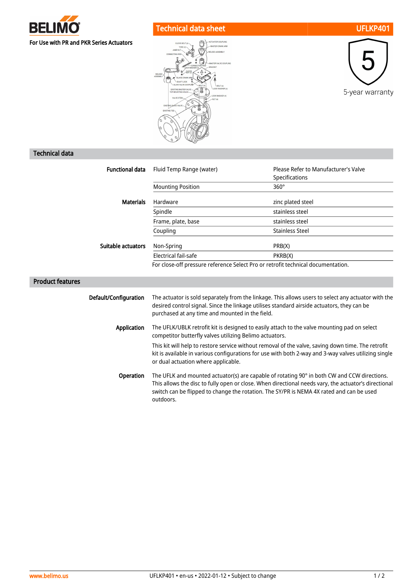

## Technical data sheet UFLKP401





## Technical data

| <b>Functional data</b>    | Fluid Temp Range (water)                                                                                                                                                                                                                                                                        | Please Refer to Manufacturer's Valve |  |
|---------------------------|-------------------------------------------------------------------------------------------------------------------------------------------------------------------------------------------------------------------------------------------------------------------------------------------------|--------------------------------------|--|
|                           |                                                                                                                                                                                                                                                                                                 | Specifications                       |  |
|                           | <b>Mounting Position</b>                                                                                                                                                                                                                                                                        | $360^\circ$                          |  |
| <b>Materials</b>          | Hardware                                                                                                                                                                                                                                                                                        | zinc plated steel                    |  |
|                           | Spindle                                                                                                                                                                                                                                                                                         | stainless steel                      |  |
|                           | Frame, plate, base                                                                                                                                                                                                                                                                              | stainless steel                      |  |
|                           | Coupling                                                                                                                                                                                                                                                                                        | <b>Stainless Steel</b>               |  |
| <b>Suitable actuators</b> | Non-Spring                                                                                                                                                                                                                                                                                      | PRB(X)                               |  |
|                           | Electrical fail-safe                                                                                                                                                                                                                                                                            | PKRB(X)                              |  |
|                           | For close-off pressure reference Select Pro or retrofit technical documentation.                                                                                                                                                                                                                |                                      |  |
| <b>Product features</b>   |                                                                                                                                                                                                                                                                                                 |                                      |  |
| Default/Configuration     | The actuator is sold separately from the linkage. This allows users to select any actuator with the<br>desired control signal. Since the linkage utilises standard airside actuators, they can be<br>purchased at any time and mounted in the field.                                            |                                      |  |
| <b>Application</b>        | The UFLK/UBLK retrofit kit is designed to easily attach to the valve mounting pad on select<br>competitor butterfly valves utilizing Belimo actuators.                                                                                                                                          |                                      |  |
|                           | This kit will help to restore service without removal of the valve, saving down time. The retrofit<br>kit is available in various configurations for use with both 2-way and 3-way valves utilizing single<br>or dual actuation where applicable.                                               |                                      |  |
| Operation                 | The UFLK and mounted actuator(s) are capable of rotating 90° in both CW and CCW directions.<br>This allows the disc to fully open or close. When directional needs vary, the actuator's directional<br>switch can be flipped to change the rotation. The SY/PR is NEMA 4X rated and can be used |                                      |  |

outdoors.